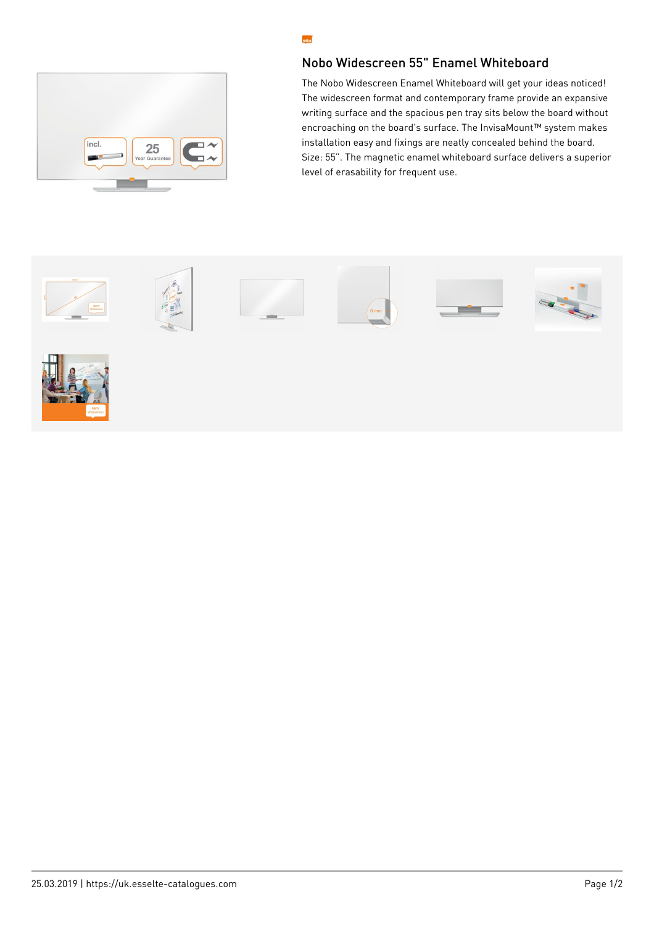

## Nobo Widescreen 55" Enamel Whiteboard

The Nobo Widescreen Enamel Whiteboard will get your ideas noticed! The widescreen format and contemporary frame provide an expansive writing surface and the spacious pen tray sits below the board without encroaching on the board's surface. The InvisaMount™ system makes installation easy and fixings are neatly concealed behind the board. Size: 55". The magnetic enamel whiteboard surface delivers a superior level of erasability for frequent use.



nobo